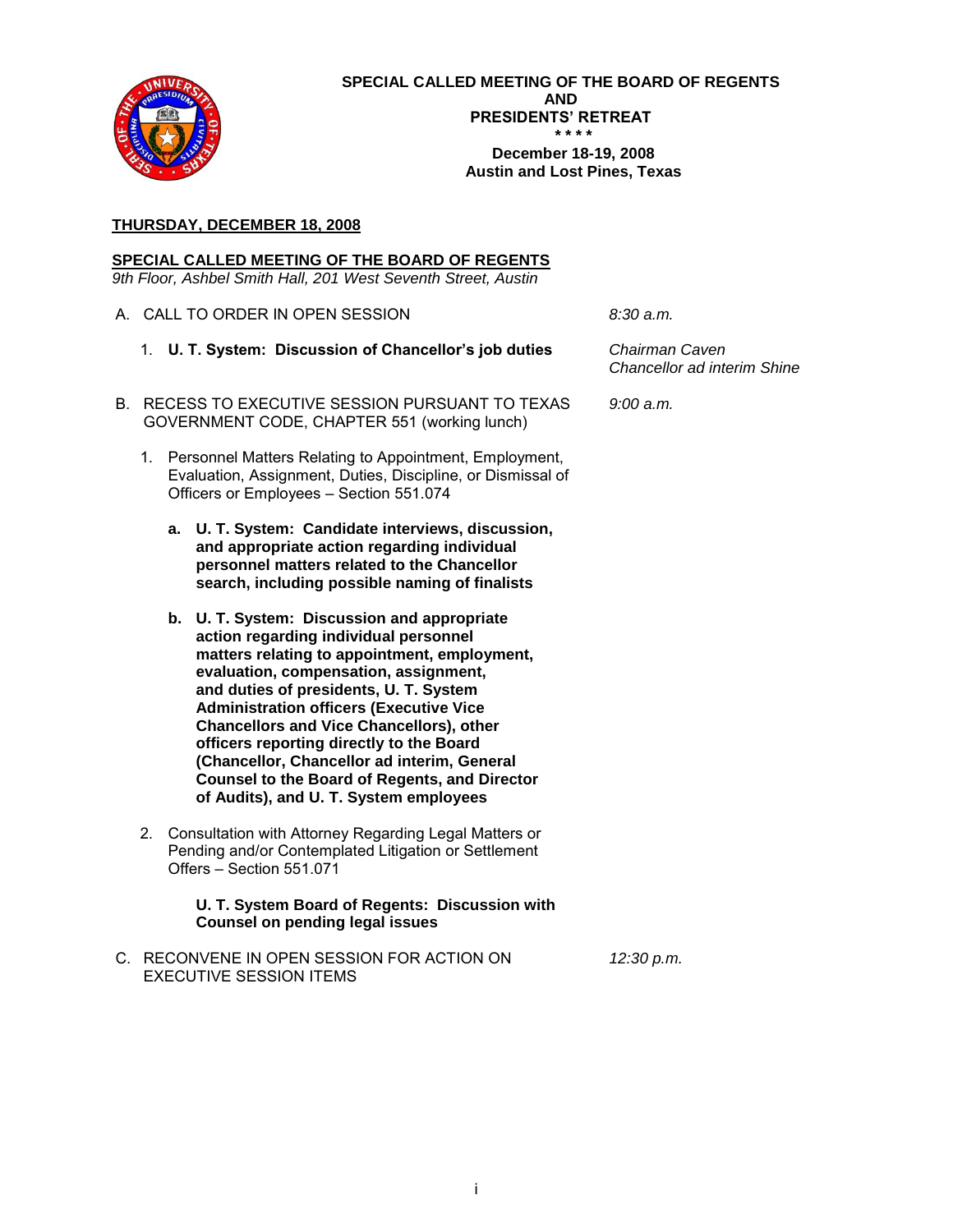# **1. U. T. System: Discussion of Chancellor's job duties**

# PURPOSE

Chairman Caven and Chancellor ad interim Shine will discuss the duties of the position of Chancellor.

### **2. U. T. San Antonio: Discussion and appropriate action regarding the Athletic Initiative Business Plan, which includes development of acreage for an Athletic Complex, addition of a football program, and advancement of 16 intercollegiate sports programs**

## RECOMMENDATION

The Chancellor ad interim, the Executive Vice Chancellor for Academic Affairs, the Executive Vice Chancellor for Business Affairs, the Vice Chancellor for External Relations, and President Romo concur in the recommendation that U. T. San Antonio be authorized to proceed with the proposed Athletic Initiative Business Plan as set forth on Pages 3 - 42.

## BACKGROUND INFORMATION

Major strategic initiatives are underway at U. T. San Antonio. A strategic plan, *A Shared Vision UTSA 2016*, was recently published, and its supporting implementation plan is in the final stages. Consultants and senior staff are planning the launch of the University's first capital campaign. Community visibility and support is at an all-time high with voters approving both city and county tax initiatives totaling more than \$22 million for Phase I for construction of the new Competitive Athletic Complex, approved by the Board of Regents on November 13, 2008. Enrollment continues to climb to more than 28,500 and students express a strong desire for an enhanced campus life program. Research expenditures have grown by 125% in the past five years to more than \$30 million per year. These are only a few elements of the rapidly changing U. T. San Antonio campus and surrounding community.

While there is tremendous enthusiasm and optimism about the strategic initiatives mentioned above, the University recognizes that it must address its well-documented strategic challenges to capitalize fully on new and growing opportunities. Challenges include a growing space deficit and infrastructure needs (classrooms, research facilities, and faculty and staff offices). The faculty-to-student ratio must be reduced with additional research and teaching faculty. There must be continued improvement in student success and graduation rates. A comprehensive marketing plan and a strong fundraising program must be developed and implemented to capture heretofore unrecognized or untapped sources of funding and support.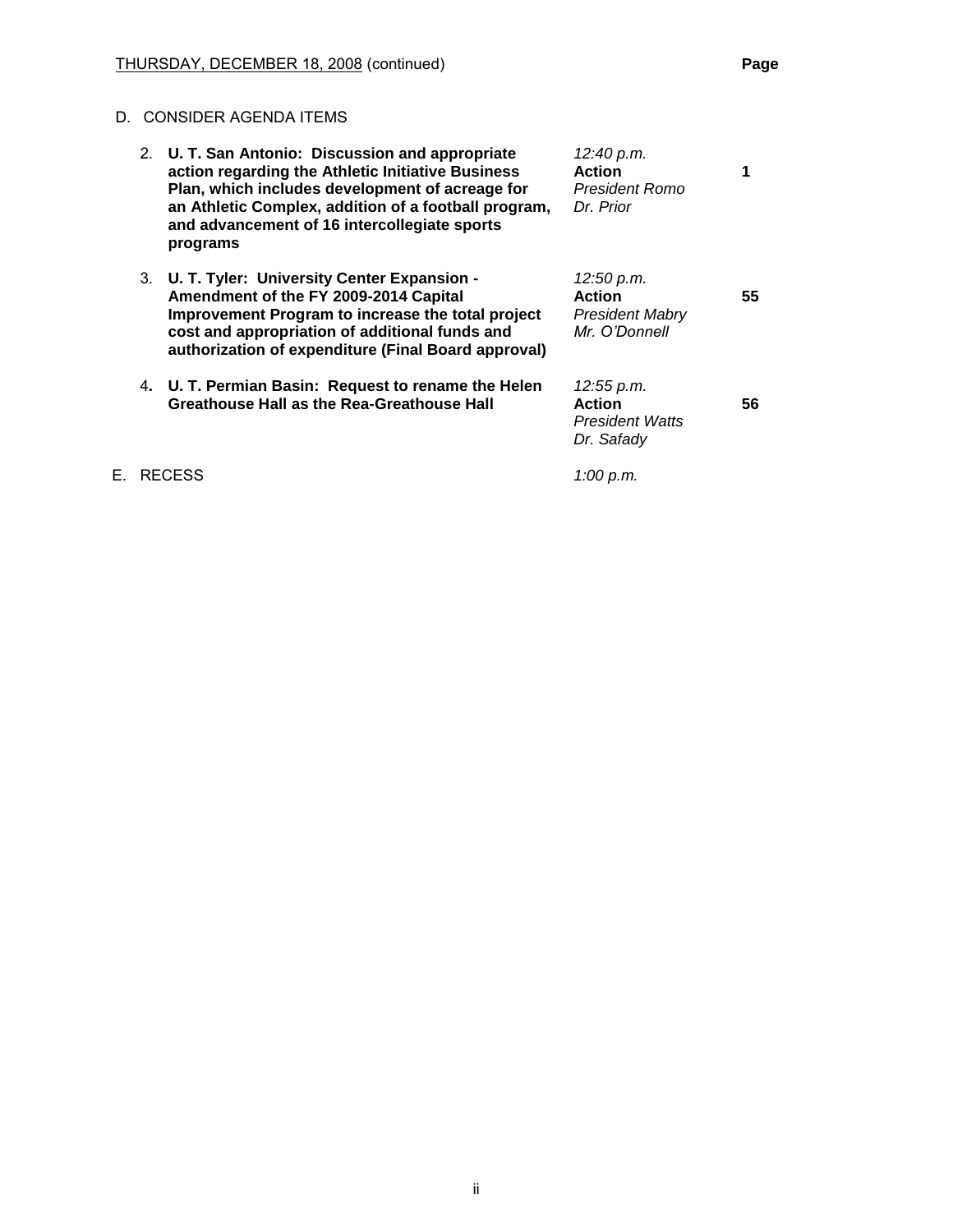The University's Athletic Initiative, with its three strategies discussed below, is one of many key elements of the University's *2016 Implementation Plan* (the Plan). The Athletics Initiative is directly connected to and supportive of the University's academic mission and is consistent with other elements of the strategic plan. The strategies outlined in the Plan will be strong forces for change to rally supporters for both the University's academic and athletic programs. The intent of this initiative is to engage current students at new levels by providing them an enhanced and more complete university experience, and draw former students and the San Antonio community closer to the University and its continued development.

The U. T. San Antonio Administration is committed to funding the Athletic Initiative through student fees (which students have already approved), corporate and private support, and other revenue streams that do not draw from the institutional academic budget. Moreover, experiences within the U. T. System as well as throughout the country support the notion that athletic fundraising can stimulate rather than divert resources from other institutional developmental efforts by creating excitement and momentum, furthering the engagement and connectivity of alumni and community leaders.

The Plan is organized in the following incremental phases, and U. T. San Antonio will only move forward with each when funds are raised and appropriate approvals are obtained, thus reducing the financial risk of the Plan:

- $\bullet$ Strategy 1: Develop a 60-acre, \$84 million Competitive Athletic Complex, including NCAA Division I quality facilities for track, soccer, baseball, softball, tennis, multiuse practice fields, a multipurpose team building, and related infrastructure, which will be located at the 1604 Campus expansion site on the Hausman Road property.
- Strategy 2: Add a Football Championship Subdivision (FCS) football program.
- Strategy 3: Advance the University's existing 16 intercollegiate sports programs to a conference in the NCAA Football Bowl Subdivision (FBS).

Finally, the U. T. San Antonio Athletic Initiative is designed to create an intercollegiate athletics program that is a key element in Universitywide efforts to develop a comprehensive campus life program that benefits U. T. San Antonio students, employees, and alumni and supports the entire San Antonio community.

### **Supplemental Materials:**

- **UTSA Athletic Initiative Business Plan on Pages 3 - 42.**
- **Summary of Athletic Initiative on Pages 43 - 54.**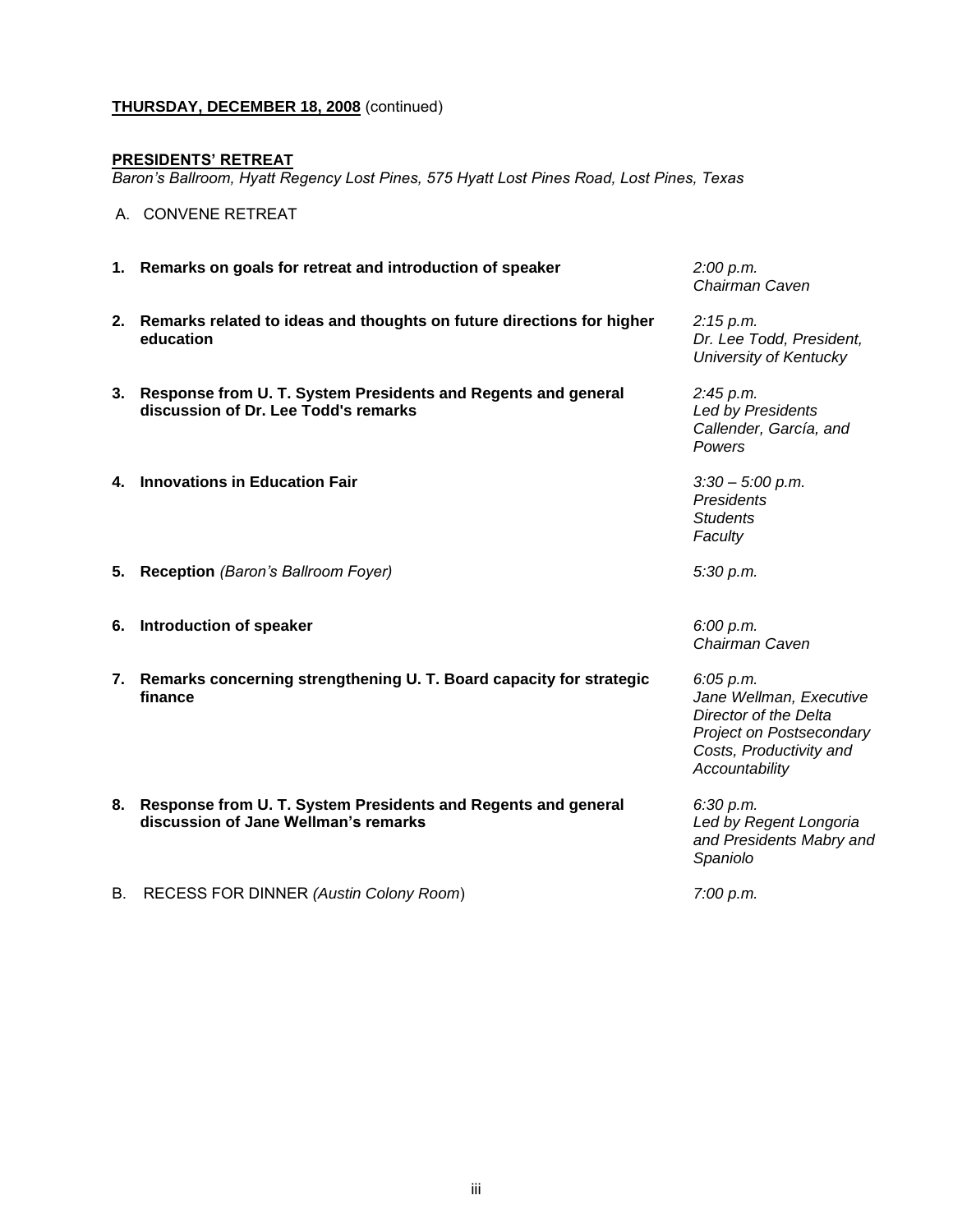**3. U. T. Tyler: University Center Expansion - Amendment of the FY 2009-2014 Capital Improvement Program to increase the total project cost and appropriation of additional funds and authorization of expenditure (Final Board approval)**

## RECOMMENDATION

The Chancellor ad interim concurs with the Executive Vice Chancellor for Academic Affairs, the Executive Vice Chancellor for Business Affairs, and President Mabry that the U. T. System Board of Regents approve the recommendations for the University Center Expansion at The University of Texas at Tyler as follows:

| <b>Project No.:</b>                 |  | 802-227                                                                                                                               |                         |                                                         |  |
|-------------------------------------|--|---------------------------------------------------------------------------------------------------------------------------------------|-------------------------|---------------------------------------------------------|--|
| <b>Institutionally Managed:</b>     |  | Yes<br>No                                                                                                                             |                         |                                                         |  |
| <b>Project Delivery Method:</b>     |  | <b>Competitive Sealed Proposals</b>                                                                                                   |                         |                                                         |  |
| <b>Substantial Completion Date:</b> |  | January 2009                                                                                                                          |                         |                                                         |  |
| <b>Total Project Cost:</b>          |  | Source<br>Revenue Financing System Bond Proceeds<br><b>Unexpended Plant Funds</b>                                                     | Current<br>\$15,300,000 | Proposed<br>\$15,300,000<br>\$2,200,000<br>\$17,500,000 |  |
| a.                                  |  | amend the FY 2009-2014 Capital Improvement Program (CIP) to<br>increase the total project cost from \$15,300,000 to \$17,500,000; and |                         |                                                         |  |

b. appropriate and authorize expenditure of additional funds of \$2,200,000 from Unexpended Plant Funds.

# BACKGROUND INFORMATION

### Previous Board Actions

On August 15, 2005, the project was included in the CIP with a total project cost of \$11,000,000 with funding from Revenue Financing System Bond Proceeds. On November 10, 2005, the Board approved the design development plans and appropriated funding. On May 5, 2006, the Chancellor approved the total project cost increase from \$11,000,000 to \$11,900,000 with the additional funding of \$900,000 from Student Union Fees. On July 26, 2006, the Executive Vice Chancellor for Business Affairs approved the Student Union Fees funding source revision to \$900,000 from Revenue Financing System Bond Proceeds and funding was appropriated. On November 16, 2006, the Board approved a total project cost increase from \$11,900,000 to \$15,300,000 and funding was appropriated from Revenue Financing System Bond Proceeds. The Associate Vice Chancellor for Facilities Planning and Construction approved the nonhonorific name change to University Center Expansion on May 9, 2008. On October 23, 2008, he authorized the project for institutional management.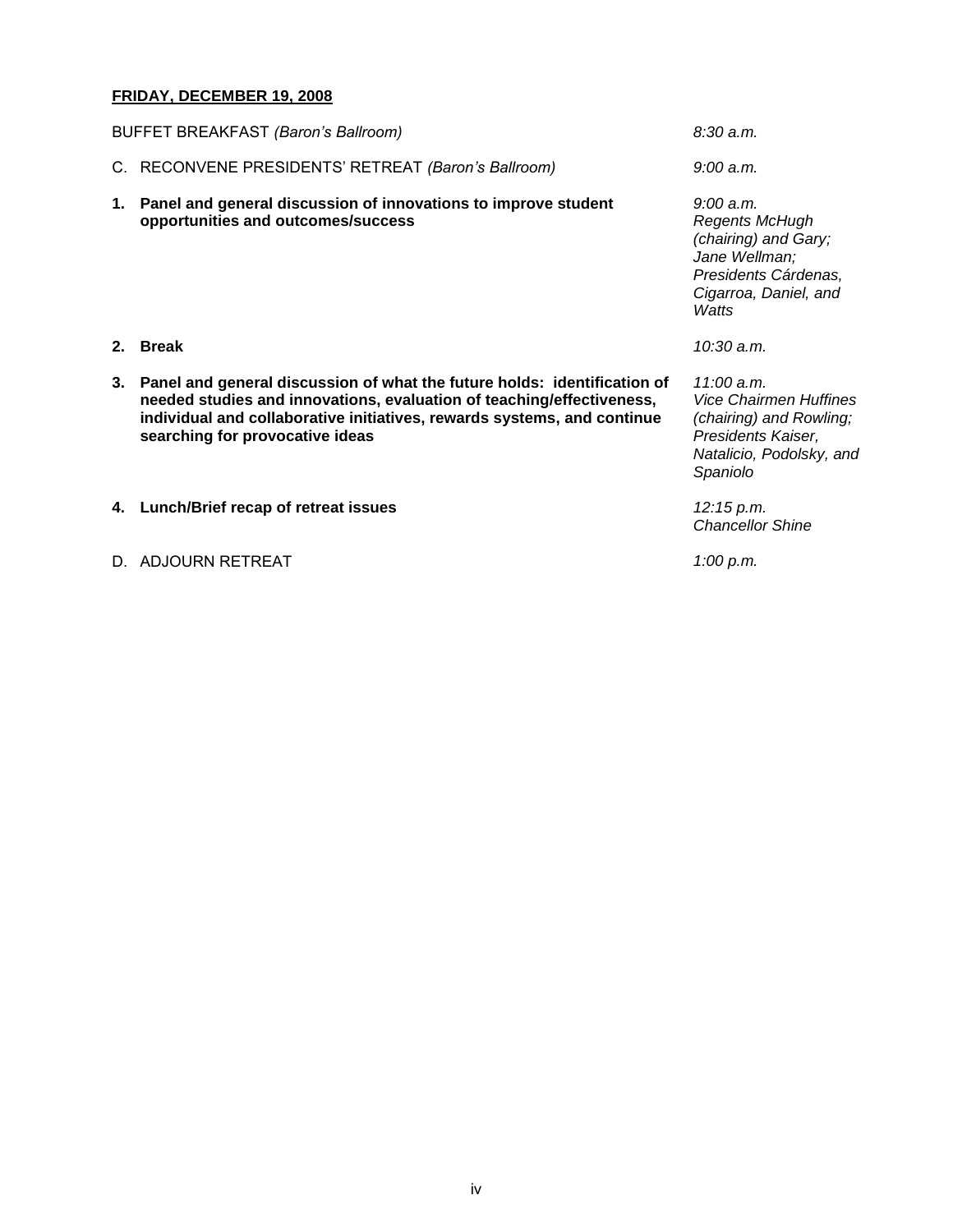### Project Description

This project consists of renovation of the first floor of the existing University Center building and an expansion to meet increased space needs. The project includes expansion of food services, a bookstore, increased space for meetings, and offices for support staff. The first floor renovation includes updating building systems including HVAC, plumbing, electrical and telephone/data as well as the installation of a fire sprinkler system.

The original contractor for the project was not going to complete the project in the required timeframe. A new contractor has been hired and will complete the work prior to the end of January 2009. Due to accelerated work premiums, schedule recovery, and additional services, the required additional funding of \$2,200,000 will increase the total project cost to \$17,500,000.

## **4. U. T. Permian Basin: Request to rename the Helen Greathouse Hall as the Rea-Greathouse Hall**

# RECOMMENDATION

The Chancellor ad interim concurs in the recommendation of the Executive Vice Chancellor for Academic Affairs, the Vice Chancellor for External Relations, and President Watts that the U. T. System Board of Regents rename the Helen Greathouse Hall in The Wagner Noël Performing Arts Center at U. T. Permian Basin as the Rea-Greathouse Hall.

## BACKGROUND INFORMATION

On August 23, 2007, the Board authorized acceptance of a \$2 million gift from the Helen Greathouse Charitable Trust for construction costs for The Wagner Noël Performing Arts Center and approved the naming of the multiuse recital hall in the proposed facility as the Helen Greathouse Hall. The recital hall will be approximately 3,600 square feet and will seat 200.

As trustee of the Helen Greathouse Charitable Trust, Wells Fargo Bank, N.A. now wishes to complete this \$2 million commitment with funding from The Rea Charitable Trust of which they are trustee, as well as from the Helen Greathouse Charitable Trust.

The Rea Charitable Trust is being established through the generosity of Isabel McClintic Rea and Bryce Rea, Jr. Their estate plans provided for creation of a charitable remainder annuity trust, which benefited their son, Charles Rea, until his death on October 27, 2008. The remainder of the annuity trust is to be used to create The Rea Charitable Trust for promotion of the arts.